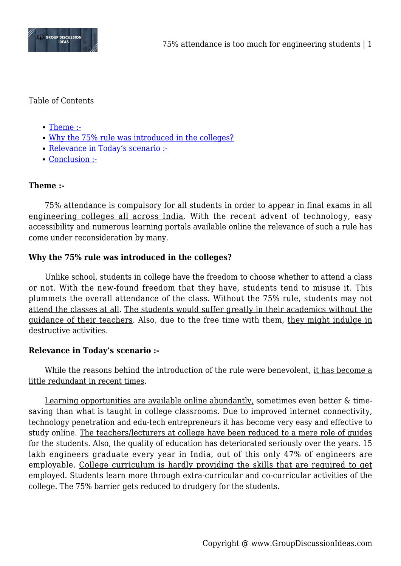

# Table of Contents

- [Theme :-](#page--1-0)
- [Why the 75% rule was introduced in the colleges?](#page--1-0)
- [Relevance in Today's scenario :-](#page--1-0)
- [Conclusion :-](#page--1-0)

# **Theme :-**

75% attendance is compulsory for all students in order to appear in final exams in all engineering colleges all across India. With the recent advent of technology, easy accessibility and numerous learning portals available online the relevance of such a rule has come under reconsideration by many.

# **Why the 75% rule was introduced in the colleges?**

Unlike school, students in college have the freedom to choose whether to attend a class or not. With the new-found freedom that they have, students tend to misuse it. This plummets the overall attendance of the class. Without the 75% rule, students may not attend the classes at all. The students would suffer greatly in their academics without the guidance of their teachers. Also, due to the free time with them, they might indulge in destructive activities.

### **Relevance in Today's scenario :-**

While the reasons behind the introduction of the rule were benevolent, it has become a little redundant in recent times.

Learning opportunities are available online abundantly, sometimes even better & timesaving than what is taught in college classrooms. Due to improved internet connectivity, technology penetration and edu-tech entrepreneurs it has become very easy and effective to study online. The teachers/lecturers at college have been reduced to a mere role of guides for the students. Also, the quality of education has deteriorated seriously over the years. 15 lakh engineers graduate every year in India, out of this only 47% of engineers are employable. College curriculum is hardly providing the skills that are required to get employed. Students learn more through extra-curricular and co-curricular activities of the college. The 75% barrier gets reduced to drudgery for the students.